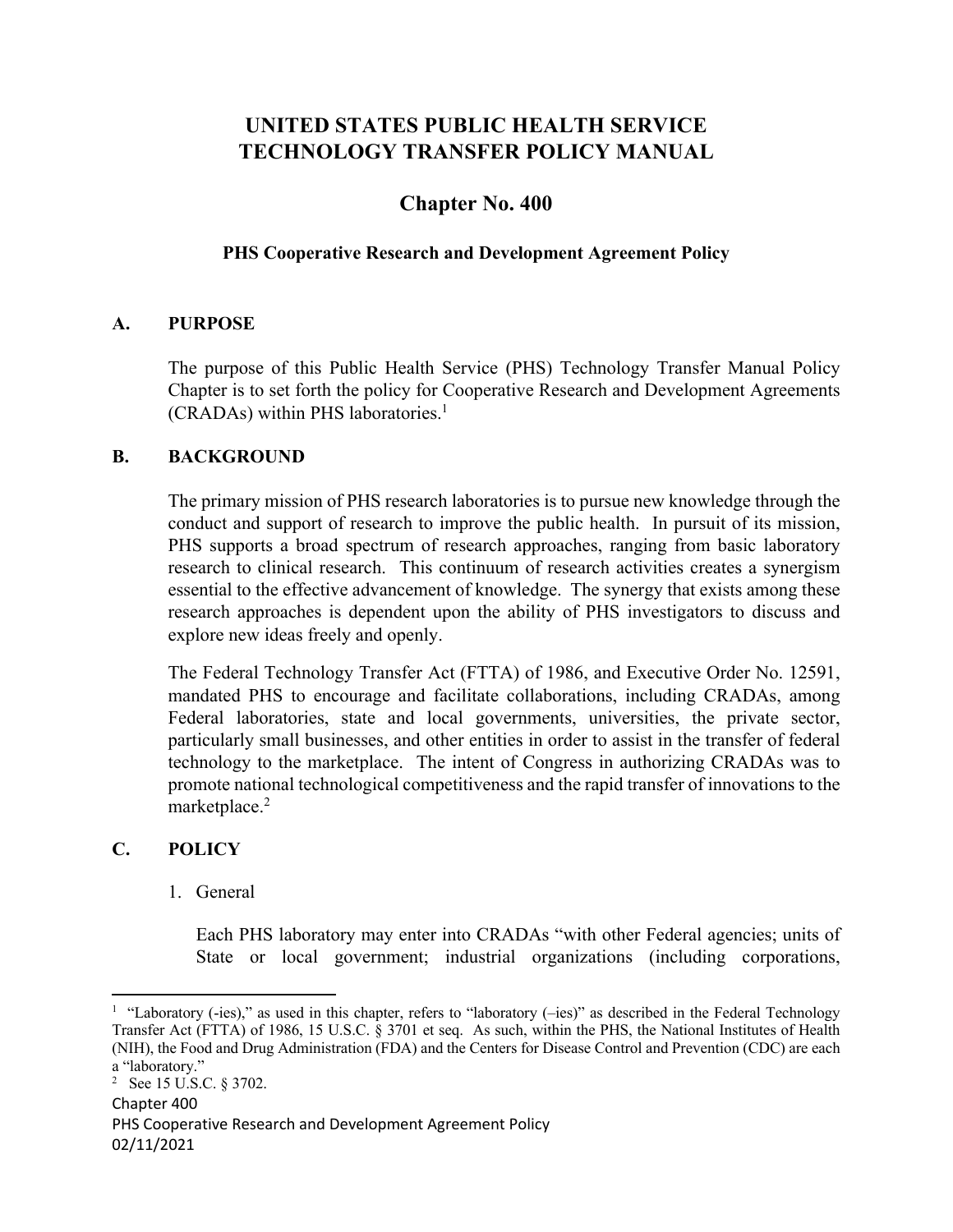# **UNITED STATES PUBLIC HEALTH SERVICE TECHNOLOGY TRANSFER POLICY MANUAL**

## **Chapter No. 400**

## **PHS Cooperative Research and Development Agreement Policy**

#### **A. PURPOSE**

The purpose of this Public Health Service (PHS) Technology Transfer Manual Policy Chapter is to set forth the policy for Cooperative Research and Development Agreements (CRADAs) within PHS laboratories.1

#### **B. BACKGROUND**

The primary mission of PHS research laboratories is to pursue new knowledge through the conduct and support of research to improve the public health. In pursuit of its mission, PHS supports a broad spectrum of research approaches, ranging from basic laboratory research to clinical research. This continuum of research activities creates a synergism essential to the effective advancement of knowledge. The synergy that exists among these research approaches is dependent upon the ability of PHS investigators to discuss and explore new ideas freely and openly.

The Federal Technology Transfer Act (FTTA) of 1986, and Executive Order No. 12591, mandated PHS to encourage and facilitate collaborations, including CRADAs, among Federal laboratories, state and local governments, universities, the private sector, particularly small businesses, and other entities in order to assist in the transfer of federal technology to the marketplace. The intent of Congress in authorizing CRADAs was to promote national technological competitiveness and the rapid transfer of innovations to the marketplace.<sup>2</sup>

#### **C. POLICY**

1. General

Each PHS laboratory may enter into CRADAs "with other Federal agencies; units of State or local government; industrial organizations (including corporations,

<sup>&</sup>lt;sup>1</sup> "Laboratory (-ies)," as used in this chapter, refers to "laboratory (-ies)" as described in the Federal Technology Transfer Act (FTTA) of 1986, 15 U.S.C. § 3701 et seq. As such, within the PHS, the National Institutes of Health (NIH), the Food and Drug Administration (FDA) and the Centers for Disease Control and Prevention (CDC) are each a "laboratory."

Chapter 400 PHS Cooperative Research and Development Agreement Policy 02/11/2021 <sup>2</sup> See 15 U.S.C.  $\S 3702$ .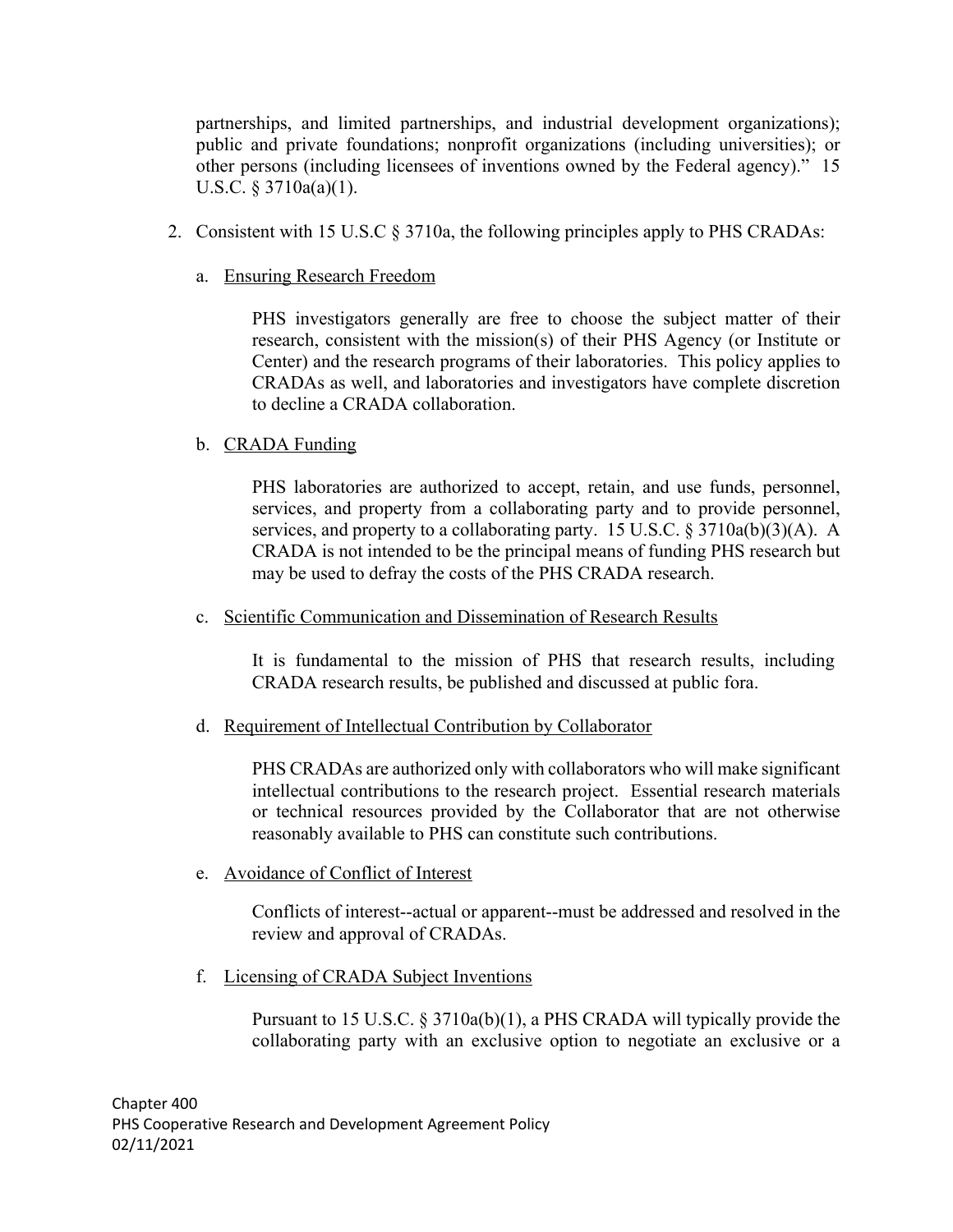partnerships, and limited partnerships, and industrial development organizations); public and private foundations; nonprofit organizations (including universities); or other persons (including licensees of inventions owned by the Federal agency)." 15 U.S.C. § 3710a(a)(1).

- 2. Consistent with 15 U.S.C § 3710a, the following principles apply to PHS CRADAs:
	- a. Ensuring Research Freedom

PHS investigators generally are free to choose the subject matter of their research, consistent with the mission(s) of their PHS Agency (or Institute or Center) and the research programs of their laboratories. This policy applies to CRADAs as well, and laboratories and investigators have complete discretion to decline a CRADA collaboration.

b. CRADA Funding

PHS laboratories are authorized to accept, retain, and use funds, personnel, services, and property from a collaborating party and to provide personnel, services, and property to a collaborating party. 15 U.S.C. § 3710a(b)(3)(A). A CRADA is not intended to be the principal means of funding PHS research but may be used to defray the costs of the PHS CRADA research.

c. Scientific Communication and Dissemination of Research Results

It is fundamental to the mission of PHS that research results, including CRADA research results, be published and discussed at public fora.

d. Requirement of Intellectual Contribution by Collaborator

PHS CRADAs are authorized only with collaborators who will make significant intellectual contributions to the research project. Essential research materials or technical resources provided by the Collaborator that are not otherwise reasonably available to PHS can constitute such contributions.

e. Avoidance of Conflict of Interest

Conflicts of interest--actual or apparent--must be addressed and resolved in the review and approval of CRADAs.

f. Licensing of CRADA Subject Inventions

Pursuant to 15 U.S.C. § 3710a(b)(1), a PHS CRADA will typically provide the collaborating party with an exclusive option to negotiate an exclusive or a